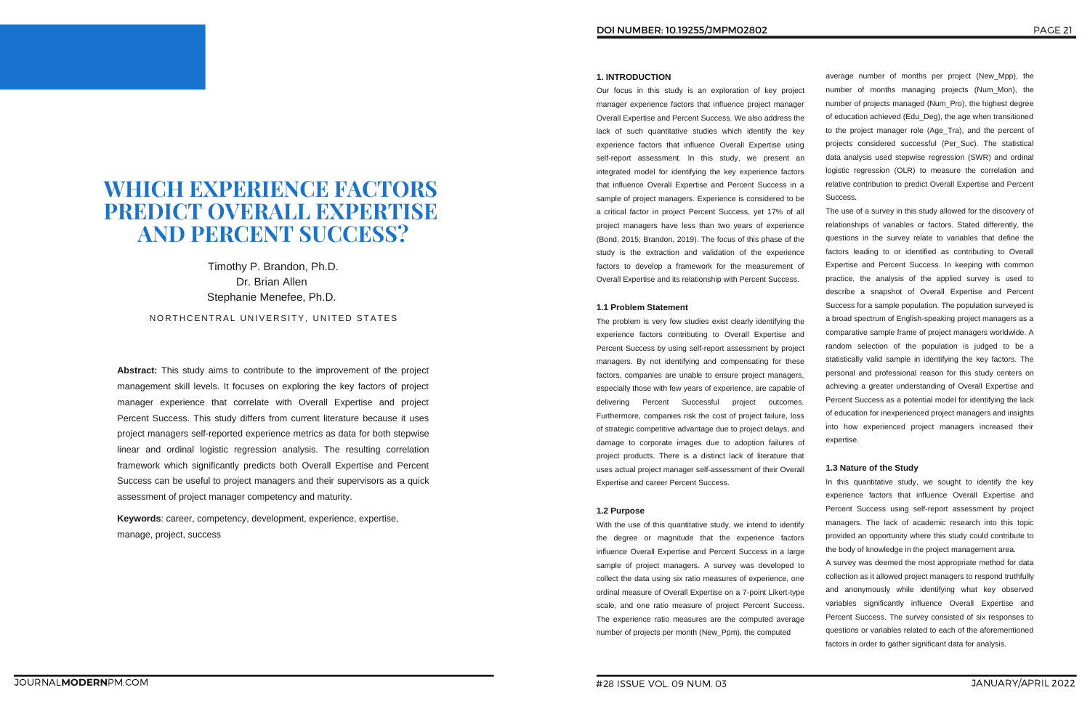PAGE 21

**Abstract:** This study aims to contribute to the improvement of the project management skill levels. It focuses on exploring the key factors of project manager experience that correlate with Overall Expertise and project Percent Success. This study differs from current literature because it uses project managers self-reported experience metrics as data for both stepwise linear and ordinal logistic regression analysis. The resulting correlation framework which significantly predicts both Overall Expertise and Percent Success can be useful to project managers and their supervisors as a quick assessment of project manager competency and maturity.

# **WHICH EXPERIENCE FACTORS PREDICT OVERALL EXPERTISE AND PERCENT SUCCESS?**

Timothy P. Brandon, Ph.D. Dr. Brian Allen Stephanie Menefee, Ph.D.

NORTHCENTRAL UNIVERSITY, UNITED STATES

**Keywords**: career, competency, development, experience, expertise, manage, project, success

average number of months per project (New\_Mpp), the number of months managing projects (Num\_Mon), the number of projects managed (Num\_Pro), the highest degree of education achieved (Edu\_Deg), the age when transitioned to the project manager role (Age\_Tra), and the percent of projects considered successful (Per\_Suc). The statistical data analysis used stepwise regression (SWR) and ordinal logistic regression (OLR) to measure the correlation and relative contribution to predict Overall Expertise and Percent Success.

The use of a survey in this study allowed for the discovery of relationships of variables or factors. Stated differently, the questions in the survey relate to variables that define the factors leading to or identified as contributing to Overall Expertise and Percent Success. In keeping with common practice, the analysis of the applied survey is used to describe a snapshot of Overall Expertise and Percent Success for a sample population. The population surveyed is a broad spectrum of English-speaking project managers as a comparative sample frame of project managers worldwide. A random selection of the population is judged to be a statistically valid sample in identifying the key factors. The personal and professional reason for this study centers on achieving a greater understanding of Overall Expertise and Percent Success as a potential model for identifying the lack of education for inexperienced project managers and insights into how experienced project managers increased their expertise.

#### **1.3 Nature of the Study**

In this quantitative study, we sought to identify the key experience factors that influence Overall Expertise and Percent Success using self-report assessment by project managers. The lack of academic research into this topic provided an opportunity where this study could contribute to the body of knowledge in the project management area.

A survey was deemed the most appropriate method for data collection as it allowed project managers to respond truthfully and anonymously while identifying what key observed variables significantly influence Overall Expertise and Percent Success. The survey consisted of six responses to questions or variables related to each of the aforementioned factors in order to gather significant data for analysis.

#### **1. INTRODUCTION**

Our focus in this study is an exploration of key project manager experience factors that influence project manager Overall Expertise and Percent Success. We also address the lack of such quantitative studies which identify the key experience factors that influence Overall Expertise using self-report assessment. In this study, we present an integrated model for identifying the key experience factors that influence Overall Expertise and Percent Success in a sample of project managers. Experience is considered to be a critical factor in project Percent Success, yet 17% of all project managers have less than two years of experience (Bond, 2015; Brandon, 2019). The focus of this phase of the study is the extraction and validation of the experience factors to develop a framework for the measurement of Overall Expertise and its relationship with Percent Success.

#### **1.1 Problem Statement**

The problem is very few studies exist clearly identifying the experience factors contributing to Overall Expertise and Percent Success by using self-report assessment by project managers. By not identifying and compensating for these factors, companies are unable to ensure project managers, especially those with few years of experience, are capable of delivering Percent Successful project outcomes. Furthermore, companies risk the cost of project failure, loss of strategic competitive advantage due to project delays, and damage to corporate images due to adoption failures of project products. There is a distinct lack of literature that uses actual project manager self-assessment of their Overall Expertise and career Percent Success.

#### **1.2 Purpose**

With the use of this quantitative study, we intend to identify the degree or magnitude that the experience factors influence Overall Expertise and Percent Success in a large sample of project managers. A survey was developed to collect the data using six ratio measures of experience, one ordinal measure of Overall Expertise on a 7-point Likert-type scale, and one ratio measure of project Percent Success. The experience ratio measures are the computed average number of projects per month (New\_Ppm), the computed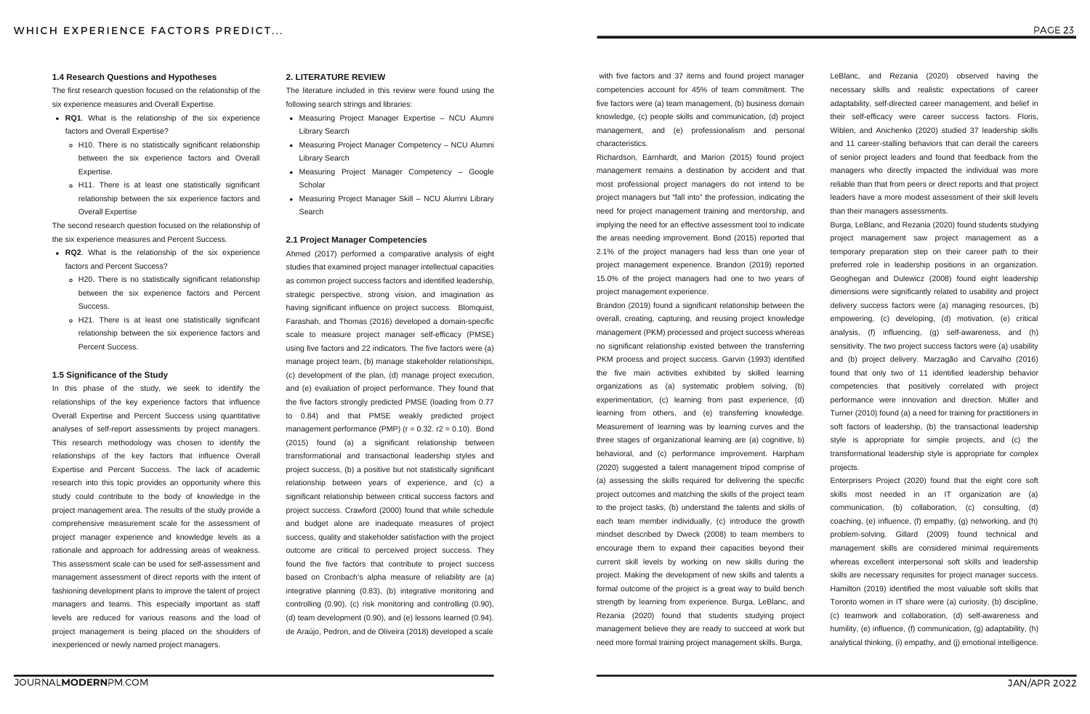- **RQ1**. What is the relationship of the six experience factors and Overall Expertise?
	- H10. There is no statistically significant relationship between the six experience factors and Overall Expertise.
	- H11. There is at least one statistically significant relationship between the six experience factors and Overall Expertise

- **RQ2**. What is the relationship of the six experience factors and Percent Success?
	- H20. There is no statistically significant relationship between the six experience factors and Percent Success.
	- H21. There is at least one statistically significant relationship between the six experience factors and Percent Success.

#### **1.4 Research Questions and Hypotheses**

The first research question focused on the relationship of the six experience measures and Overall Expertise.

The second research question focused on the relationship of the six experience measures and Percent Success.

#### **1.5 Significance of the Study**

- Measuring Project Manager Expertise NCU Alumni Library Search
- Measuring Project Manager Competency NCU Alumni Library Search
- Measuring Project Manager Competency Google **Scholar**
- Measuring Project Manager Skill NCU Alumni Library Search

In this phase of the study, we seek to identify the relationships of the key experience factors that influence Overall Expertise and Percent Success using quantitative analyses of self-report assessments by project managers. This research methodology was chosen to identify the relationships of the key factors that influence Overall Expertise and Percent Success. The lack of academic research into this topic provides an opportunity where this study could contribute to the body of knowledge in the project management area. The results of the study provide a comprehensive measurement scale for the assessment of project manager experience and knowledge levels as a rationale and approach for addressing areas of weakness. This assessment scale can be used for self-assessment and management assessment of direct reports with the intent of fashioning development plans to improve the talent of project managers and teams. This especially important as staff levels are reduced for various reasons and the load of project management is being placed on the shoulders of inexperienced or newly named project managers.

#### **2. LITERATURE REVIEW**

The literature included in this review were found using the following search strings and libraries:

#### **2.1 Project Manager Competencies**

Ahmed (2017) performed a comparative analysis of eight studies that examined project manager intellectual capacities as common project success factors and identified leadership, strategic perspective, strong vision, and imagination as having significant influence on project success. Blomquist, Farashah, and Thomas (2016) developed a domain-specific scale to measure project manager self-efficacy (PMSE) using five factors and 22 indicators. The five factors were (a) manage project team, (b) manage stakeholder relationships, (c) development of the plan, (d) manage project execution, and (e) evaluation of project performance. They found that the five factors strongly predicted PMSE (loading from 0.77 to 0.84) and that PMSE weakly predicted project management performance (PMP) ( $r = 0.32$ .  $r2 = 0.10$ ). Bond (2015) found (a) a significant relationship between transformational and transactional leadership styles and project success, (b) a positive but not statistically significant relationship between years of experience, and (c) a significant relationship between critical success factors and project success. Crawford (2000) found that while schedule and budget alone are inadequate measures of project success, quality and stakeholder satisfaction with the project outcome are critical to perceived project success. They found the five factors that contribute to project success based on Cronbach's alpha measure of reliability are (a) integrative planning (0.83), (b) integrative monitoring and controlling (0.90), (c) risk monitoring and controlling (0.90), (d) team development (0.90), and (e) lessons learned (0.94). de Araújo, Pedron, and de Oliveira (2018) developed a scale

with five factors and 37 items and found project manager competencies account for 45% of team commitment. The five factors were (a) team management, (b) business domain knowledge, (c) people skills and communication, (d) project management, and (e) professionalism and personal characteristics.

Richardson, Earnhardt, and Marion (2015) found project management remains a destination by accident and that most professional project managers do not intend to be project managers but "fall into" the profession, indicating the need for project management training and mentorship, and implying the need for an effective assessment tool to indicate the areas needing improvement. Bond (2015) reported that 2.1% of the project managers had less than one year of project management experience. Brandon (2019) reported 15.0% of the project managers had one to two years of project management experience.

Brandon (2019) found a significant relationship between the overall, creating, capturing, and reusing project knowledge management (PKM) processed and project success whereas no significant relationship existed between the transferring PKM process and project success. Garvin (1993) identified the five main activities exhibited by skilled learning organizations as (a) systematic problem solving, (b) experimentation, (c) learning from past experience, (d) learning from others, and (e) transferring knowledge. Measurement of learning was by learning curves and the three stages of organizational learning are (a) cognitive, b) behavioral, and (c) performance improvement. Harpham (2020) suggested a talent management tripod comprise of (a) assessing the skills required for delivering the specific project outcomes and matching the skills of the project team to the project tasks, (b) understand the talents and skills of each team member individually, (c) introduce the growth mindset described by Dweck (2008) to team members to encourage them to expand their capacities beyond their current skill levels by working on new skills during the project. Making the development of new skills and talents a formal outcome of the project is a great way to build bench strength by learning from experience. Burga, LeBlanc, and Rezania (2020) found that students studying project management believe they are ready to succeed at work but need more formal training project management skills. Burga,

LeBlanc, and Rezania (2020) observed having the necessary skills and realistic expectations of career adaptability, self-directed career management, and belief in their self-efficacy were career success factors. Floris, Wiblen, and Anichenko (2020) studied 37 leadership skills and 11 career-stalling behaviors that can derail the careers of senior project leaders and found that feedback from the managers who directly impacted the individual was more reliable than that from peers or direct reports and that project leaders have a more modest assessment of their skill levels than their managers assessments.

Burga, LeBlanc, and Rezania (2020) found students studying project management saw project management as a temporary preparation step on their career path to their preferred role in leadership positions in an organization. Geoghegan and Dulewicz (2008) found eight leadership dimensions were significantly related to usability and project delivery success factors were (a) managing resources, (b) empowering, (c) developing, (d) motivation, (e) critical analysis, (f) influencing, (g) self-awareness, and (h) sensitivity. The two project success factors were (a) usability and (b) project delivery. Marzagão and Carvalho (2016) found that only two of 11 identified leadership behavior competencies that positively correlated with project performance were innovation and direction. Müller and Turner (2010) found (a) a need for training for practitioners in soft factors of leadership, (b) the transactional leadership style is appropriate for simple projects, and (c) the transformational leadership style is appropriate for complex projects.

Enterprisers Project (2020) found that the eight core soft skills most needed in an IT organization are (a) communication, (b) collaboration, (c) consulting, (d) coaching, (e) influence, (f) empathy, (g) networking, and (h) problem-solving. Gillard (2009) found technical and management skills are considered minimal requirements whereas excellent interpersonal soft skills and leadership skills are necessary requisites for project manager success. Hamilton (2019) identified the most valuable soft skills that Toronto women in IT share were (a) curiosity, (b) discipline, (c) teamwork and collaboration, (d) self-awareness and humility, (e) influence, (f) communication, (g) adaptability, (h) analytical thinking, (i) empathy, and (j) emotional intelligence.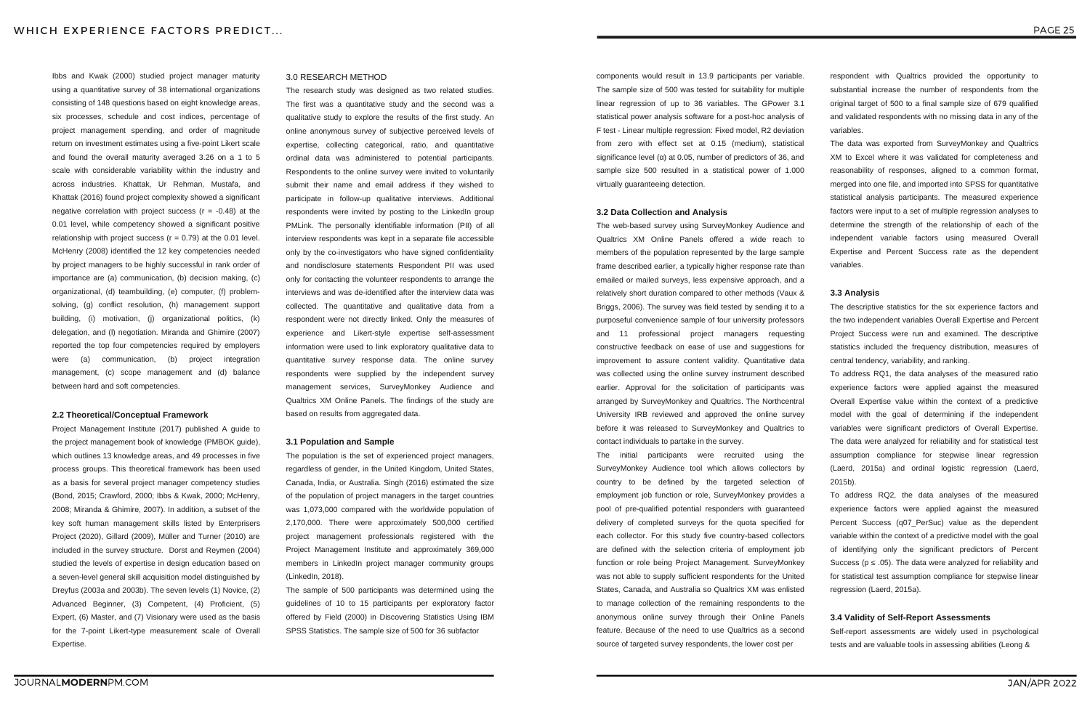Ibbs and Kwak (2000) studied project manager maturity using a quantitative survey of 38 international organizations consisting of 148 questions based on eight knowledge areas, six processes, schedule and cost indices, percentage of project management spending, and order of magnitude return on investment estimates using a five-point Likert scale and found the overall maturity averaged 3.26 on a 1 to 5 scale with considerable variability within the industry and across industries. Khattak, Ur Rehman, Mustafa, and Khattak (2016) found project complexity showed a significant negative correlation with project success ( $r = -0.48$ ) at the 0.01 level, while competency showed a significant positive relationship with project success ( $r = 0.79$ ) at the 0.01 level. McHenry (2008) identified the 12 key competencies needed by project managers to be highly successful in rank order of importance are (a) communication, (b) decision making, (c) organizational, (d) teambuilding, (e) computer, (f) problemsolving, (g) conflict resolution, (h) management support building, (i) motivation, (j) organizational politics, (k) delegation, and (l) negotiation. Miranda and Ghimire (2007) reported the top four competencies required by employers were (a) communication, (b) project integration management, (c) scope management and (d) balance between hard and soft competencies.

#### **2.2 Theoretical/Conceptual Framework**

Project Management Institute (2017) published A guide to the project management book of knowledge (PMBOK guide), which outlines 13 knowledge areas, and 49 processes in five process groups. This theoretical framework has been used as a basis for several project manager competency studies (Bond, 2015; Crawford, 2000; Ibbs & Kwak, 2000; McHenry, 2008; Miranda & Ghimire, 2007). In addition, a subset of the key soft human management skills listed by Enterprisers Project (2020), Gillard (2009), Müller and Turner (2010) are included in the survey structure. Dorst and Reymen (2004) studied the levels of expertise in design education based on a seven-level general skill acquisition model distinguished by Dreyfus (2003a and 2003b). The seven levels (1) Novice, (2) Advanced Beginner, (3) Competent, (4) Proficient, (5) Expert, (6) Master, and (7) Visionary were used as the basis for the 7-point Likert-type measurement scale of Overall Expertise.

components would result in 13.9 participants per variable. The sample size of 500 was tested for suitability for multiple linear regression of up to 36 variables. The GPower 3.1 statistical power analysis software for a post-hoc analysis of F test - Linear multiple regression: Fixed model, R2 deviation from zero with effect set at 0.15 (medium), statistical significance level ( $\alpha$ ) at 0.05, number of predictors of 36, and sample size 500 resulted in a statistical power of 1.000 virtually guaranteeing detection.

#### **3.2 Data Collection and Analysis**

The web-based survey using SurveyMonkey Audience and Qualtrics XM Online Panels offered a wide reach to members of the population represented by the large sample frame described earlier, a typically higher response rate than emailed or mailed surveys, less expensive approach, and a relatively short duration compared to other methods (Vaux & Briggs, 2006). The survey was field tested by sending it to a purposeful convenience sample of four university professors and 11 professional project managers requesting constructive feedback on ease of use and suggestions for improvement to assure content validity. Quantitative data was collected using the online survey instrument described earlier. Approval for the solicitation of participants was arranged by SurveyMonkey and Qualtrics. The Northcentral University IRB reviewed and approved the online survey before it was released to SurveyMonkey and Qualtrics to contact individuals to partake in the survey.

The initial participants were recruited using the SurveyMonkey Audience tool which allows collectors by country to be defined by the targeted selection of employment job function or role, SurveyMonkey provides a pool of pre-qualified potential responders with guaranteed delivery of completed surveys for the quota specified for each collector. For this study five country-based collectors are defined with the selection criteria of employment job function or role being Project Management. SurveyMonkey was not able to supply sufficient respondents for the United States, Canada, and Australia so Qualtrics XM was enlisted to manage collection of the remaining respondents to the anonymous online survey through their Online Panels feature. Because of the need to use Qualtrics as a second source of targeted survey respondents, the lower cost per

respondent with Qualtrics provided the opportunity to substantial increase the number of respondents from the original target of 500 to a final sample size of 679 qualified and validated respondents with no missing data in any of the variables.

The data was exported from SurveyMonkey and Qualtrics XM to Excel where it was validated for completeness and reasonability of responses, aligned to a common format, merged into one file, and imported into SPSS for quantitative statistical analysis participants. The measured experience factors were input to a set of multiple regression analyses to determine the strength of the relationship of each of the independent variable factors using measured Overall Expertise and Percent Success rate as the dependent variables.

#### **3.3 Analysis**

The descriptive statistics for the six experience factors and the two independent variables Overall Expertise and Percent Project Success were run and examined. The descriptive statistics included the frequency distribution, measures of central tendency, variability, and ranking.

To address RQ1, the data analyses of the measured ratio experience factors were applied against the measured Overall Expertise value within the context of a predictive model with the goal of determining if the independent variables were significant predictors of Overall Expertise. The data were analyzed for reliability and for statistical test assumption compliance for stepwise linear regression (Laerd, 2015a) and ordinal logistic regression (Laerd, 2015b).

To address RQ2, the data analyses of the measured experience factors were applied against the measured Percent Success (q07 PerSuc) value as the dependent variable within the context of a predictive model with the goal of identifying only the significant predictors of Percent Success ( $p \le .05$ ). The data were analyzed for reliability and for statistical test assumption compliance for stepwise linear regression (Laerd, 2015a).

#### **3.4 Validity of Self-Report Assessments**

Self-report assessments are widely used in psychological tests and are valuable tools in assessing abilities (Leong &

#### 3.0 RESEARCH METHOD

The research study was designed as two related studies. The first was a quantitative study and the second was a qualitative study to explore the results of the first study. An online anonymous survey of subjective perceived levels of expertise, collecting categorical, ratio, and quantitative ordinal data was administered to potential participants. Respondents to the online survey were invited to voluntarily submit their name and email address if they wished to participate in follow-up qualitative interviews. Additional respondents were invited by posting to the LinkedIn group PMLink. The personally identifiable information (PII) of all interview respondents was kept in a separate file accessible only by the co-investigators who have signed confidentiality and nondisclosure statements Respondent PII was used only for contacting the volunteer respondents to arrange the interviews and was de-identified after the interview data was collected. The quantitative and qualitative data from a respondent were not directly linked. Only the measures of experience and Likert-style expertise self-assessment information were used to link exploratory qualitative data to quantitative survey response data. The online survey respondents were supplied by the independent survey management services, SurveyMonkey Audience and Qualtrics XM Online Panels. The findings of the study are based on results from aggregated data.

#### **3.1 Population and Sample**

The population is the set of experienced project managers, regardless of gender, in the United Kingdom, United States, Canada, India, or Australia. Singh (2016) estimated the size of the population of project managers in the target countries was 1,073,000 compared with the worldwide population of 2,170,000. There were approximately 500,000 certified project management professionals registered with the Project Management Institute and approximately 369,000 members in LinkedIn project manager community groups (LinkedIn, 2018).

The sample of 500 participants was determined using the guidelines of 10 to 15 participants per exploratory factor offered by Field (2000) in Discovering Statistics Using IBM SPSS Statistics. The sample size of 500 for 36 subfactor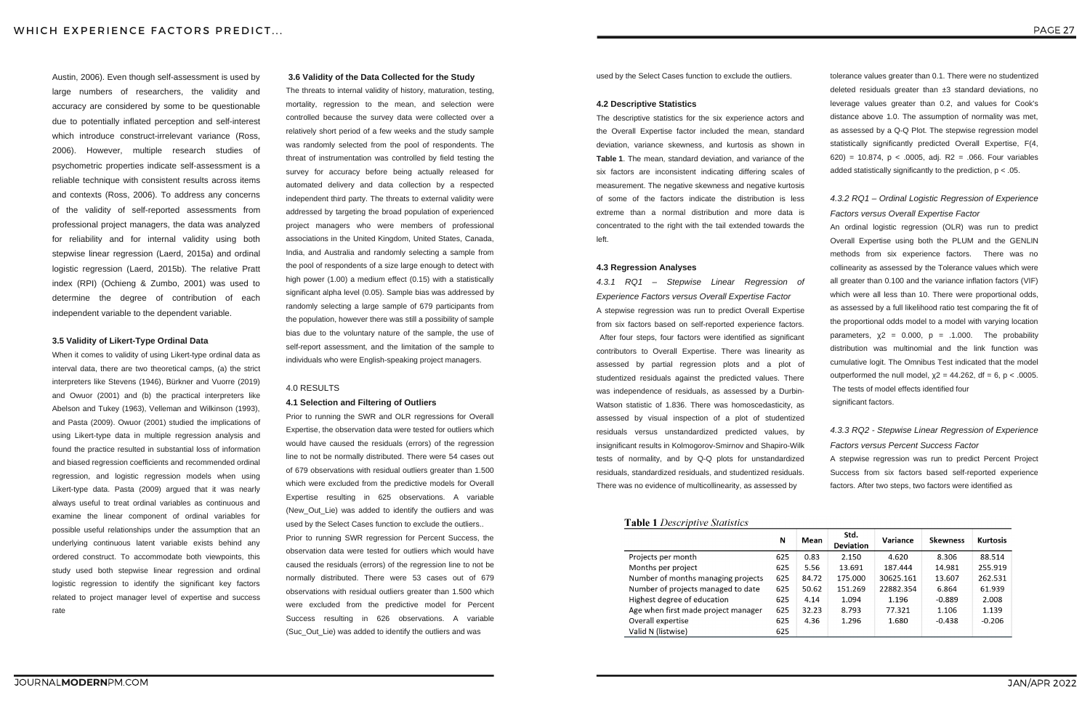Austin, 2006). Even though self-assessment is used by large numbers of researchers, the validity and accuracy are considered by some to be questionable due to potentially inflated perception and self-interest which introduce construct-irrelevant variance (Ross, 2006). However, multiple research studies of psychometric properties indicate self-assessment is a reliable technique with consistent results across items and contexts (Ross, 2006). To address any concerns of the validity of self-reported assessments from professional project managers, the data was analyzed for reliability and for internal validity using both stepwise linear regression (Laerd, 2015a) and ordinal logistic regression (Laerd, 2015b). The relative Pratt index (RPI) (Ochieng & Zumbo, 2001) was used to determine the degree of contribution of each independent variable to the dependent variable.

#### **3.5 Validity of Likert-Type Ordinal Data**

When it comes to validity of using Likert-type ordinal data as interval data, there are two theoretical camps, (a) the strict interpreters like Stevens (1946), Bürkner and Vuorre (2019) and Owuor (2001) and (b) the practical interpreters like Abelson and Tukey (1963), Velleman and Wilkinson (1993), and Pasta (2009). Owuor (2001) studied the implications of using Likert-type data in multiple regression analysis and found the practice resulted in substantial loss of information and biased regression coefficients and recommended ordinal regression, and logistic regression models when using Likert-type data. Pasta (2009) argued that it was nearly always useful to treat ordinal variables as continuous and examine the linear component of ordinal variables for possible useful relationships under the assumption that an underlying continuous latent variable exists behind any ordered construct. To accommodate both viewpoints, this study used both stepwise linear regression and ordinal logistic regression to identify the significant key factors related to project manager level of expertise and success rate

An ordinal logistic regression (OLR) was run to predict Overall Expertise using both the PLUM and the GENLIN methods from six experience factors. There was no collinearity as assessed by the Tolerance values which were all greater than 0.100 and the variance inflation factors (VIF) which were all less than 10. There were proportional odds, as assessed by a full likelihood ratio test comparing the fit of the proportional odds model to a model with varying location parameters,  $\chi$ 2 = 0.000, p = .1.000. The probability distribution was multinomial and the link function was cumulative logit. The Omnibus Test indicated that the model outperformed the null model,  $χ2 = 44.262$ , df = 6, p < .0005.

used by the Select Cases function to exclude the outliers.

#### **4.2 Descriptive Statistics**

The descriptive statistics for the six experience actors and the Overall Expertise factor included the mean, standard deviation, variance skewness, and kurtosis as shown in **Table 1**. The mean, standard deviation, and variance of the six factors are inconsistent indicating differing scales of measurement. The negative skewness and negative kurtosis of some of the factors indicate the distribution is less extreme than a normal distribution and more data is concentrated to the right with the tail extended towards the left.

#### **4.3 Regression Analyses**

*4.3.1 RQ1 – Stepwise Linear Regression of Experience Factors versus Overall Expertise Factor* A stepwise regression was run to predict Overall Expertise from six factors based on self-reported experience factors. After four steps, four factors were identified as significant contributors to Overall Expertise. There was linearity as assessed by partial regression plots and a plot of studentized residuals against the predicted values. There was independence of residuals, as assessed by a Durbin-Watson statistic of 1.836. There was homoscedasticity, as assessed by visual inspection of a plot of studentized residuals versus unstandardized predicted values, by insignificant results in Kolmogorov-Smirnov and Shapiro-Wilk tests of normality, and by Q-Q plots for unstandardized residuals, standardized residuals, and studentized residuals. There was no evidence of multicollinearity, as assessed by

#### **Table 1 Descriptive Statistics**

|                                     | N   | Mean  | Std.<br><b>Deviation</b> | Variance  | <b>Skewness</b> | <b>Kurtosis</b> |
|-------------------------------------|-----|-------|--------------------------|-----------|-----------------|-----------------|
| Projects per month                  | 625 | 0.83  | 2.150                    | 4.620     | 8.306           | 88.514          |
| Months per project                  | 625 | 5.56  | 13.691                   | 187.444   | 14.981          | 255.919         |
| Number of months managing projects  | 625 | 84.72 | 175.000                  | 30625.161 | 13.607          | 262.531         |
| Number of projects managed to date  | 625 | 50.62 | 151.269                  | 22882.354 | 6.864           | 61.939          |
| Highest degree of education         | 625 | 4.14  | 1.094                    | 1.196     | $-0.889$        | 2.008           |
| Age when first made project manager | 625 | 32.23 | 8.793                    | 77.321    | 1.106           | 1.139           |
| Overall expertise                   | 625 | 4.36  | 1.296                    | 1.680     | $-0.438$        | $-0.206$        |
| Valid N (listwise)                  | 625 |       |                          |           |                 |                 |

tolerance values greater than 0.1. There were no studentized deleted residuals greater than ±3 standard deviations, no leverage values greater than 0.2, and values for Cook's distance above 1.0. The assumption of normality was met, as assessed by a Q-Q Plot. The stepwise regression model statistically significantly predicted Overall Expertise, F(4, 620) = 10.874, p < .0005, adj. R2 = .066. Four variables added statistically significantly to the prediction, p < .05.

#### *4.3.2 RQ1 – Ordinal Logistic Regression of Experience Factors versus Overall Expertise Factor*

The tests of model effects identified four significant factors.

### *4.3.3 RQ2 - Stepwise Linear Regression of Experience Factors versus Percent Success Factor*

A stepwise regression was run to predict Percent Project Success from six factors based self-reported experience factors. After two steps, two factors were identified as

#### **3.6 Validity of the Data Collected for the Study**

The threats to internal validity of history, maturation, testing, mortality, regression to the mean, and selection were controlled because the survey data were collected over a relatively short period of a few weeks and the study sample was randomly selected from the pool of respondents. The threat of instrumentation was controlled by field testing the survey for accuracy before being actually released for automated delivery and data collection by a respected independent third party. The threats to external validity were addressed by targeting the broad population of experienced project managers who were members of professional associations in the United Kingdom, United States, Canada, India, and Australia and randomly selecting a sample from the pool of respondents of a size large enough to detect with high power (1.00) a medium effect (0.15) with a statistically significant alpha level (0.05). Sample bias was addressed by randomly selecting a large sample of 679 participants from the population, however there was still a possibility of sample bias due to the voluntary nature of the sample, the use of self-report assessment, and the limitation of the sample to individuals who were English-speaking project managers.

#### 4.0 RESULTS

#### **4.1 Selection and Filtering of Outliers**

Prior to running the SWR and OLR regressions for Overall Expertise, the observation data were tested for outliers which would have caused the residuals (errors) of the regression line to not be normally distributed. There were 54 cases out of 679 observations with residual outliers greater than 1.500 which were excluded from the predictive models for Overall Expertise resulting in 625 observations. A variable (New Out Lie) was added to identify the outliers and was used by the Select Cases function to exclude the outliers.. Prior to running SWR regression for Percent Success, the observation data were tested for outliers which would have caused the residuals (errors) of the regression line to not be normally distributed. There were 53 cases out of 679 observations with residual outliers greater than 1.500 which were excluded from the predictive model for Percent Success resulting in 626 observations. A variable (Suc\_Out\_Lie) was added to identify the outliers and was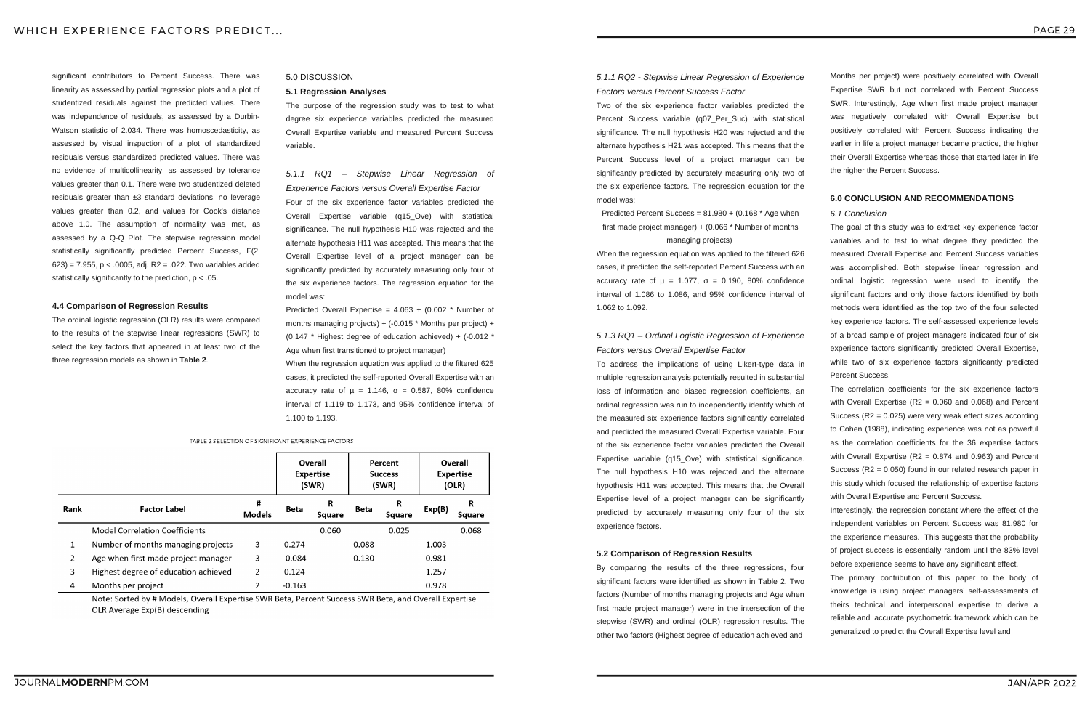significant contributors to Percent Success. There was linearity as assessed by partial regression plots and a plot of studentized residuals against the predicted values. There was independence of residuals, as assessed by a Durbin-Watson statistic of 2.034. There was homoscedasticity, as assessed by visual inspection of a plot of standardized residuals versus standardized predicted values. There was no evidence of multicollinearity, as assessed by tolerance values greater than 0.1. There were two studentized deleted residuals greater than ±3 standard deviations, no leverage values greater than 0.2, and values for Cook's distance above 1.0. The assumption of normality was met, as assessed by a Q-Q Plot. The stepwise regression model statistically significantly predicted Percent Success, F(2, 623) = 7.955, p < .0005, adj. R2 = .022. Two variables added statistically significantly to the prediction, p < .05.

Predicted Percent Success = 81.980 + (0.168 \* Age when first made project manager) + (0.066 \* Number of months managing projects)

#### **4.4 Comparison of Regression Results**

The ordinal logistic regression (OLR) results were compared to the results of the stepwise linear regressions (SWR) to select the key factors that appeared in at least two of the three regression models as shown in **Table 2**.

#### *5.1.1 RQ2 - Stepwise Linear Regression of Experience Factors versus Percent Success Factor*

Two of the six experience factor variables predicted the Percent Success variable (q07\_Per\_Suc) with statistical significance. The null hypothesis H20 was rejected and the alternate hypothesis H21 was accepted. This means that the Percent Success level of a project manager can be significantly predicted by accurately measuring only two of the six experience factors. The regression equation for the model was:

When the regression equation was applied to the filtered 626 cases, it predicted the self-reported Percent Success with an accuracy rate of  $\mu$  = 1.077,  $\sigma$  = 0.190, 80% confidence interval of 1.086 to 1.086, and 95% confidence interval of 1.062 to 1.092.

#### *5.1.3 RQ1 – Ordinal Logistic Regression of Experience Factors versus Overall Expertise Factor*

To address the implications of using Likert-type data in multiple regression analysis potentially resulted in substantial loss of information and biased regression coefficients, an ordinal regression was run to independently identify which of the measured six experience factors significantly correlated and predicted the measured Overall Expertise variable. Four of the six experience factor variables predicted the Overall Expertise variable (q15 Ove) with statistical significance. The null hypothesis H10 was rejected and the alternate hypothesis H11 was accepted. This means that the Overall Expertise level of a project manager can be significantly predicted by accurately measuring only four of the six experience factors.

#### **5.2 Comparison of Regression Results**

By comparing the results of the three regressions, four significant factors were identified as shown in Table 2. Two factors (Number of months managing projects and Age when first made project manager) were in the intersection of the stepwise (SWR) and ordinal (OLR) regression results. The other two factors (Highest degree of education achieved and

Months per project) were positively correlated with Overall Expertise SWR but not correlated with Percent Success SWR. Interestingly, Age when first made project manager was negatively correlated with Overall Expertise but positively correlated with Percent Success indicating the earlier in life a project manager became practice, the higher their Overall Expertise whereas those that started later in life the higher the Percent Success.

#### **6.0 CONCLUSION AND RECOMMENDATIONS**

#### *6.1 Conclusion*

The goal of this study was to extract key experience factor variables and to test to what degree they predicted the measured Overall Expertise and Percent Success variables was accomplished. Both stepwise linear regression and ordinal logistic regression were used to identify the significant factors and only those factors identified by both methods were identified as the top two of the four selected key experience factors. The self-assessed experience levels of a broad sample of project managers indicated four of six experience factors significantly predicted Overall Expertise, while two of six experience factors significantly predicted Percent Success.

The correlation coefficients for the six experience factors with Overall Expertise (R2 = 0.060 and 0.068) and Percent Success (R2 = 0.025) were very weak effect sizes according to Cohen (1988), indicating experience was not as powerful as the correlation coefficients for the 36 expertise factors with Overall Expertise (R2 = 0.874 and 0.963) and Percent Success (R2 = 0.050) found in our related research paper in this study which focused the relationship of expertise factors with Overall Expertise and Percent Success.

Interestingly, the regression constant where the effect of the independent variables on Percent Success was 81.980 for the experience measures. This suggests that the probability of project success is essentially random until the 83% level before experience seems to have any significant effect.

The primary contribution of this paper to the body of knowledge is using project managers' self-assessments of theirs technical and interpersonal expertise to derive a reliable and accurate psychometric framework which can be generalized to predict the Overall Expertise level and

#### 5.0 DISCUSSION

#### **5.1 Regression Analyses**

The purpose of the regression study was to test to what degree six experience variables predicted the measured Overall Expertise variable and measured Percent Success variable.

*5.1.1 RQ1 – Stepwise Linear Regression of Experience Factors versus Overall Expertise Factor* Four of the six experience factor variables predicted the Overall Expertise variable (q15\_Ove) with statistical significance. The null hypothesis H10 was rejected and the alternate hypothesis H11 was accepted. This means that the Overall Expertise level of a project manager can be significantly predicted by accurately measuring only four of the six experience factors. The regression equation for the model was:

Predicted Overall Expertise = 4.063 + (0.002 \* Number of months managing projects) + (-0.015 \* Months per project) + (0.147 \* Highest degree of education achieved) + (-0.012 \* Age when first transitioned to project manager)

When the regression equation was applied to the filtered 625 cases, it predicted the self-reported Overall Expertise with an accuracy rate of  $\mu$  = 1.146,  $\sigma$  = 0.587, 80% confidence interval of 1.119 to 1.173, and 95% confidence interval of 1.100 to 1.193.

TABLE 2 SELECTION OF SIGNIFICANT EXPERIENCE FACTORS

|                |                                       |                    |             | Overall<br><b>Expertise</b><br>(SWR) |             | Percent<br><b>Success</b><br>(SWR) | Overall<br><b>Expertise</b><br>(OLR) |             |
|----------------|---------------------------------------|--------------------|-------------|--------------------------------------|-------------|------------------------------------|--------------------------------------|-------------|
| Rank           | <b>Factor Label</b>                   | Ħ<br><b>Models</b> | <b>Beta</b> | R<br><b>Square</b>                   | <b>Beta</b> | R<br>Square                        | Exp(B)                               | R<br>Square |
|                | <b>Model Correlation Coefficients</b> |                    |             | 0.060                                |             | 0.025                              |                                      | 0.068       |
| 1              | Number of months managing projects    | 3                  | 0.274       |                                      | 0.088       |                                    | 1.003                                |             |
| $\overline{2}$ | Age when first made project manager   | 3                  | $-0.084$    |                                      | 0.130       |                                    | 0.981                                |             |
| 3              | Highest degree of education achieved  | 2                  | 0.124       |                                      |             |                                    | 1.257                                |             |
| 4              | Months per project                    | 2                  | $-0.163$    |                                      |             |                                    | 0.978                                |             |

Note: Sorted by # Models, Overall Expertise SWR Beta, Percent Success SWR Beta, and Overall Expertise OLR Average Exp(B) descending